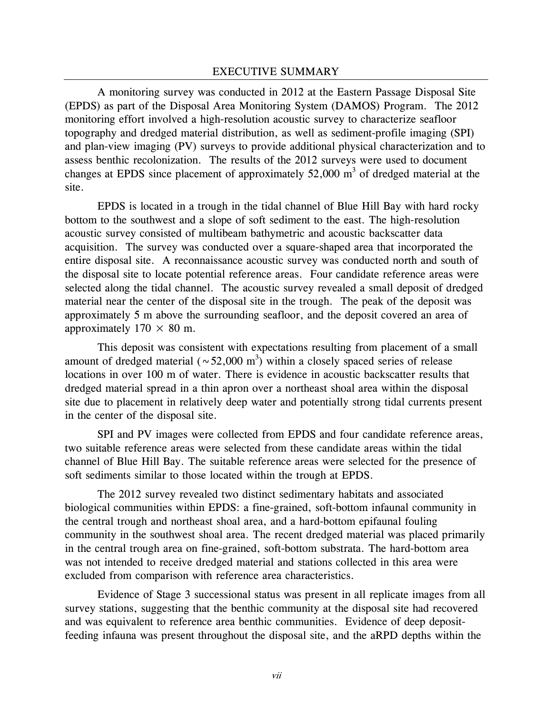A monitoring survey was conducted in 2012 at the Eastern Passage Disposal Site (EPDS) as part of the Disposal Area Monitoring System (DAMOS) Program. The 2012 monitoring effort involved a high-resolution acoustic survey to characterize seafloor topography and dredged material distribution, as well as sediment-profile imaging (SPI) and plan-view imaging (PV) surveys to provide additional physical characterization and to assess benthic recolonization. The results of the 2012 surveys were used to document changes at EPDS since placement of approximately  $52,000$  m<sup>3</sup> of dredged material at the site.

EPDS is located in a trough in the tidal channel of Blue Hill Bay with hard rocky bottom to the southwest and a slope of soft sediment to the east. The high-resolution acoustic survey consisted of multibeam bathymetric and acoustic backscatter data acquisition. The survey was conducted over a square-shaped area that incorporated the entire disposal site. A reconnaissance acoustic survey was conducted north and south of the disposal site to locate potential reference areas. Four candidate reference areas were selected along the tidal channel. The acoustic survey revealed a small deposit of dredged material near the center of the disposal site in the trough. The peak of the deposit was approximately 5 m above the surrounding seafloor, and the deposit covered an area of approximately  $170 \times 80$  m.

This deposit was consistent with expectations resulting from placement of a small amount of dredged material ( $\sim$  52,000 m<sup>3</sup>) within a closely spaced series of release locations in over 100 m of water. There is evidence in acoustic backscatter results that dredged material spread in a thin apron over a northeast shoal area within the disposal site due to placement in relatively deep water and potentially strong tidal currents present in the center of the disposal site.

SPI and PV images were collected from EPDS and four candidate reference areas, two suitable reference areas were selected from these candidate areas within the tidal channel of Blue Hill Bay. The suitable reference areas were selected for the presence of soft sediments similar to those located within the trough at EPDS.

The 2012 survey revealed two distinct sedimentary habitats and associated biological communities within EPDS: a fine-grained, soft-bottom infaunal community in the central trough and northeast shoal area, and a hard-bottom epifaunal fouling community in the southwest shoal area. The recent dredged material was placed primarily in the central trough area on fine-grained, soft-bottom substrata. The hard-bottom area was not intended to receive dredged material and stations collected in this area were excluded from comparison with reference area characteristics.

Evidence of Stage 3 successional status was present in all replicate images from all survey stations, suggesting that the benthic community at the disposal site had recovered and was equivalent to reference area benthic communities. Evidence of deep depositfeeding infauna was present throughout the disposal site, and the aRPD depths within the